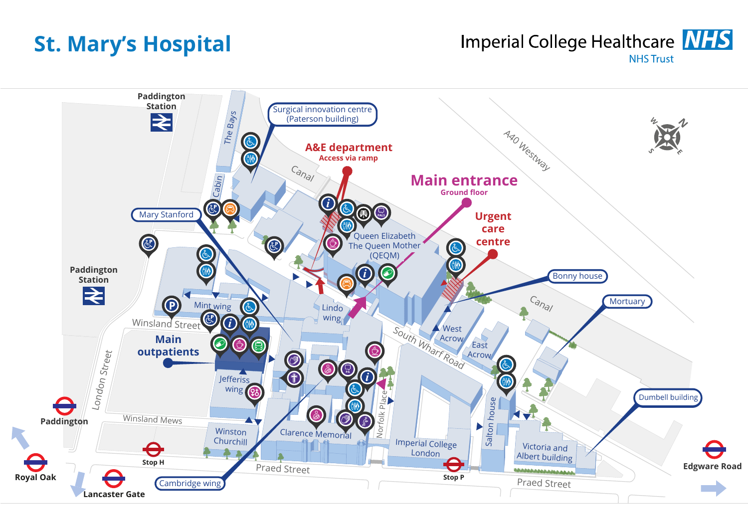## **St. Mary's Hospital**